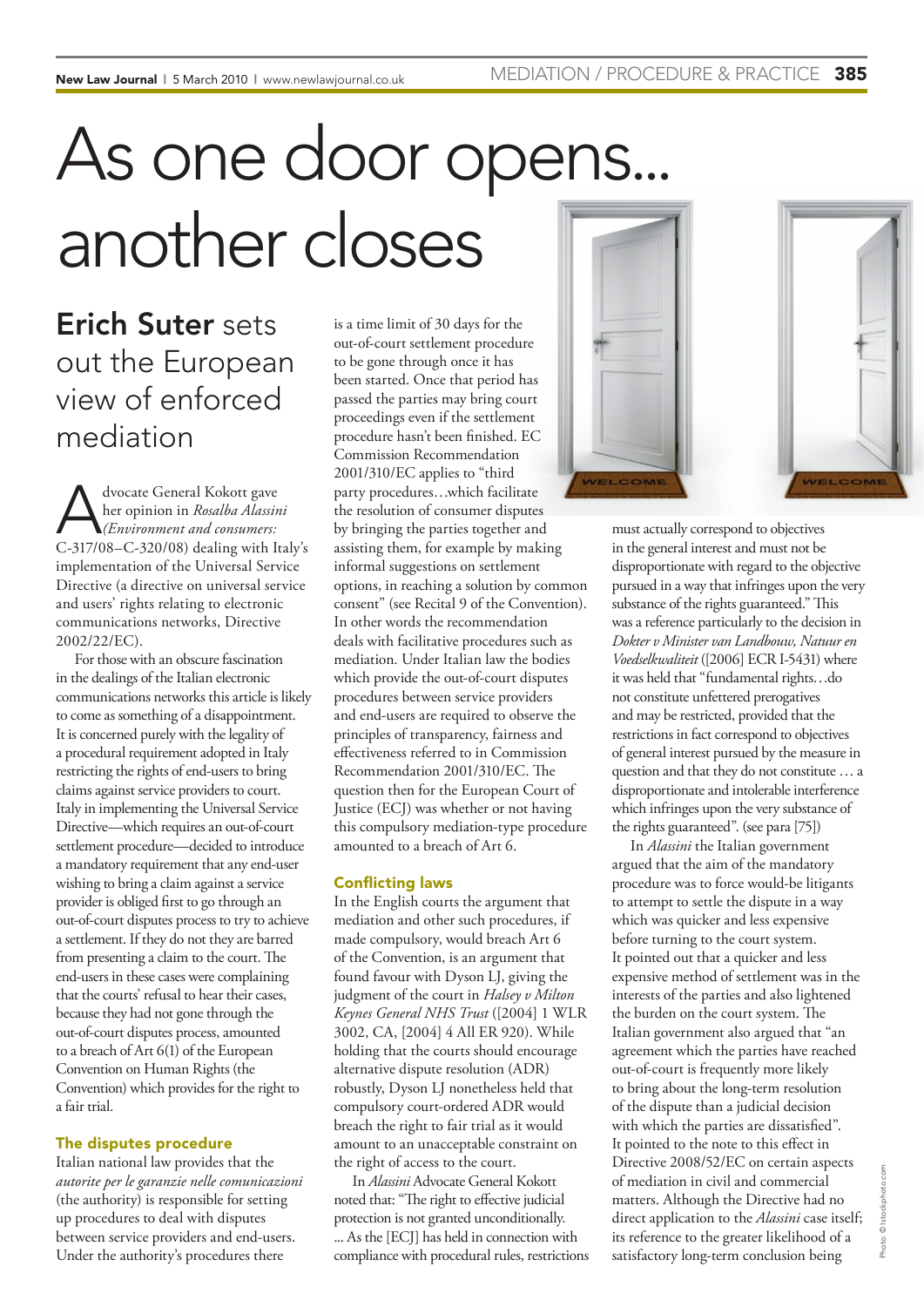# As one door opens... another closes

Erich Suter sets out the European view of enforced mediation

Advocate General Kokott gave<br> *(Environment and consumers: C* 317/08 C 320/08) dealing with It her opinion in *Rosalba Alassini*  C-317/08–C-320/08) dealing with Italy's implementation of the Universal Service Directive (a directive on universal service and users' rights relating to electronic communications networks, Directive 2002/22/EC).

For those with an obscure fascination in the dealings of the Italian electronic communications networks this article is likely to come as something of a disappointment. It is concerned purely with the legality of a procedural requirement adopted in Italy restricting the rights of end-users to bring claims against service providers to court. Italy in implementing the Universal Service Directive—which requires an out-of-court settlement procedure—decided to introduce a mandatory requirement that any end-user wishing to bring a claim against a service provider is obliged first to go through an out-of-court disputes process to try to achieve a settlement. If they do not they are barred from presenting a claim to the court. The end-users in these cases were complaining that the courts' refusal to hear their cases, because they had not gone through the out-of-court disputes process, amounted to a breach of Art 6(1) of the European Convention on Human Rights (the Convention) which provides for the right to a fair trial.

### The disputes procedure

Italian national law provides that the *autorite per le garanzie nelle comunicazioni* (the authority) is responsible for setting up procedures to deal with disputes between service providers and end-users. Under the authority's procedures there

is a time limit of 30 days for the out-of-court settlement procedure to be gone through once it has been started. Once that period has passed the parties may bring court proceedings even if the settlement procedure hasn't been finished. EC Commission Recommendation 2001/310/EC applies to "third party procedures…which facilitate the resolution of consumer disputes by bringing the parties together and assisting them, for example by making informal suggestions on settlement options, in reaching a solution by common consent" (see Recital 9 of the Convention). In other words the recommendation deals with facilitative procedures such as mediation. Under Italian law the bodies which provide the out-of-court disputes procedures between service providers and end-users are required to observe the principles of transparency, fairness and effectiveness referred to in Commission Recommendation 2001/310/EC. The question then for the European Court of Justice (ECJ) was whether or not having this compulsory mediation-type procedure amounted to a breach of Art 6.

### Conflicting laws

In the English courts the argument that mediation and other such procedures, if made compulsory, would breach Art 6 of the Convention, is an argument that found favour with Dyson LJ, giving the judgment of the court in *Halsey v Milton Keynes General NHS Trust* ([2004] 1 WLR 3002, CA, [2004] 4 All ER 920). While holding that the courts should encourage alternative dispute resolution (ADR) robustly, Dyson LJ nonetheless held that compulsory court-ordered ADR would breach the right to fair trial as it would amount to an unacceptable constraint on the right of access to the court.

In *Alassini* Advocate General Kokott noted that: "The right to effective judicial protection is not granted unconditionally. ... As the [ECJ] has held in connection with compliance with procedural rules, restrictions



must actually correspond to objectives in the general interest and must not be disproportionate with regard to the objective pursued in a way that infringes upon the very substance of the rights guaranteed." This was a reference particularly to the decision in *Dokter v Minister van Landbouw, Natuur en Voedselkwaliteit* ([2006] ECR I-5431) where it was held that "fundamental rights…do not constitute unfettered prerogatives and may be restricted, provided that the restrictions in fact correspond to objectives of general interest pursued by the measure in question and that they do not constitute … a disproportionate and intolerable interference which infringes upon the very substance of the rights guaranteed". (see para [75])

In *Alassini* the Italian government argued that the aim of the mandatory procedure was to force would-be litigants to attempt to settle the dispute in a way which was quicker and less expensive before turning to the court system. It pointed out that a quicker and less expensive method of settlement was in the interests of the parties and also lightened the burden on the court system. The Italian government also argued that "an agreement which the parties have reached out-of-court is frequently more likely to bring about the long-term resolution of the dispute than a judicial decision with which the parties are dissatisfied". It pointed to the note to this effect in Directive 2008/52/EC on certain aspects of mediation in civil and commercial matters. Although the Directive had no direct application to the *Alassini* case itself; its reference to the greater likelihood of a satisfactory long-term conclusion being